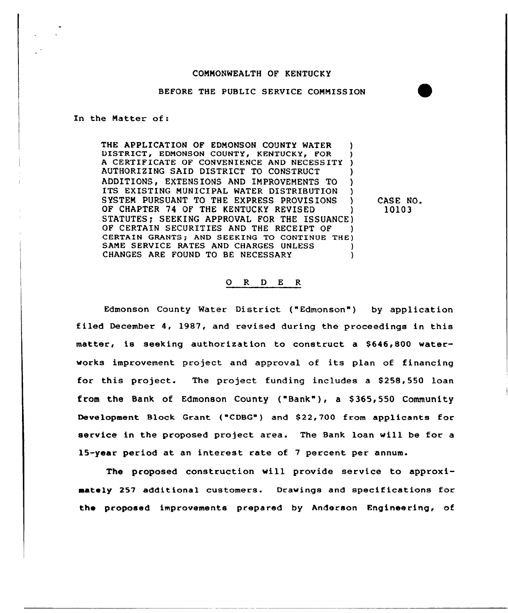### COMMONWEALTH OF KENTUCKY

#### BEFORE THE PUBLIC SERVICE COMMISSION

In the Matter of:

THE APPLICATION OF EDMONSON COUNTY WATER DISTRICT, EDMONSON COUNTY, KENTUCKY, FOR <sup>A</sup> CERTIFICATE OF CONVENIENCE AND NECESSITY ) AUTHORIZING SAID DISTRICT TO CONSTRUCT ) ADDITIONS, EXTENSIONS AND IMPROVEMENTS TO ITS EXISTING MUNICIPAL WATER DISTRIBUTION SYSTEM PURSUANT TO THE EXPRESS PROVISIONS OF CHAPTER 74 OF THE KENTUCKY REVISED STATUTES: SEEKING APPROVAL FOR THE ISSUANCE) OF CERTAIN SECURITIES AND THE RECEIPT OF CERTAIN GRANTS; AND SEEKING TO CONTINUE THE) SAME SERVICE RATES AND CHARGES UNLESS CHANGES ARE FOUND TO BE NECESSARY

CASE NO. 10103

## 0 <sup>R</sup> <sup>D</sup> E <sup>R</sup>

Edmonson County Water District ("Edmonson") by application filed December 4, 1987, and revised during the proceedings in this matter, is seeking authorization to construct a \$646,800 waterworks improvement project and approval of its plan of financing for this project. The project funding includes a \$258,550 loan from the Bank of Edmonson County ("Bank" ), <sup>a</sup> \$ 365,550 Community Development Block Grant {"CDBG") and \$ 22,700 from applicants for service in the proposed project area. The Bank loan will be for a 15-year period at an interest rate of 7 percent per annum.

The proposed construction will provide service to approximately 257 additional customers. Drawings and specifications for the proposed improvements prepared by Anderson Engineering, of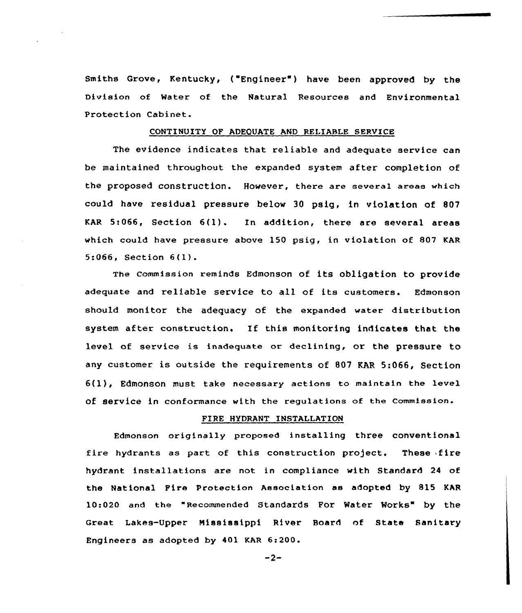Smiths Grove, Kentucky, ("Engineer" ) have been approved by the Division of Water of the Natural Resources and Environmental Protection Cabinet.

### CONTINUITY OF ADEQUATE AND RELIABLE SERVICE

The evidence indicates that reliable and adequate service can be maintained throughout the expanded system after completion of the proposed construction. However, there are several areas which could have residual pressure below 30 psig, in violation of 807 KAR 5:066, Section 6(1). In addition, there are several areas which could have pressure above 150 psig, in violation of 807 KAR 5:066, Section 6(l).

The commission reminds Edmonson of its obligation to provide adequate and reliable service to all of its customers. Edmonson should monitor the adequacy of the expanded water distribution system after construction. If this monitoring indicates that the level of service is inadequate or declining, or the pressure to any customer is outside the requirements of 807 KAR 5:066, Section 6(l), Edmonson must take necessary actions to maintain the level of service in conformance with the regulations of the commission.

# FIRE HYDRANT INSTALLATION

Edmonson originally proposed installing three conventional fire hydrants as part of this construction project. These fire hydrant installations are not in compliance with Standard 24 of the National Fire Protection Association as adopted by 815 KAR 10:020 and the "Recommended Standards For Water Works" by the Great Lakes-Upper Mississippi River Board of State Sanitary Engineers as adopted by 401 KAR 6:200.

 $-2-$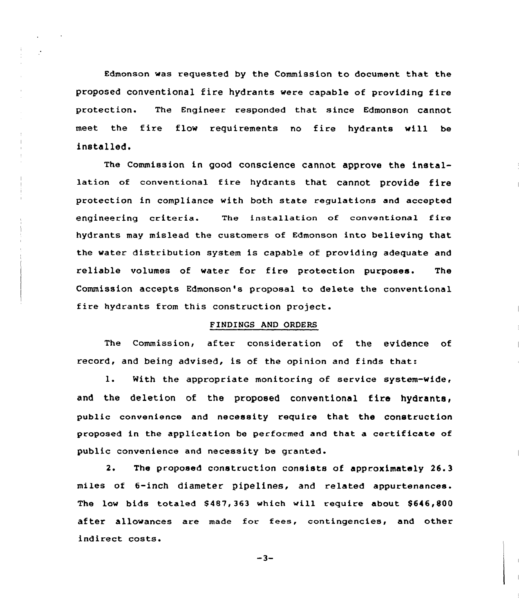Edmonson was requested by the Commission to document hat the proposed conventional fire hydrants were capable of providing fire protection. The Engineer responded that since Edmonson cannot meet the fire flow requirements no fire hydrants will be installed.

The Commission in good conscience cannot approve the installation of conventional fire hydrants that cannot provide fire protection in compliance with both state regulations and accepted engineering criteria. The installation of conventional fire hydrants may mislead the customers of Edmonson into believing that the water distribution system is capable of providing adequate and reliable volumes of water for fire protection purposes. The Commission accepts Edmonson's proposal to delete the conventional fire hydrants from this construction project.

# FINDINGS AND ORDERS

The Commission, after consideration of the evidence of record, and being advised, is of the opinion and finds that:

l. With the appropriate monitoring of service system-wide< and the deletion of the proposed conventional fire hydrants, public convenience and necessity require that the construction proposed in the application be performed and that a certificate of public convenience and necessity be granted.

2. The proposed construction consists of approximately 26.3 miles of 6-inch diameter pipelines, and related appurtenances. The low bids totaled \$487,363 which will require about \$646,800 after allowances are made for fees, contingencies, and other indirect costs.

 $-3-$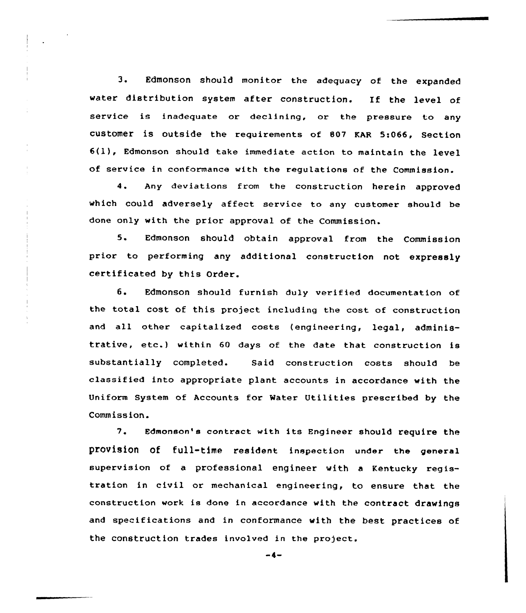3. Edmonson should monitor the adequacy of the expanded water distribution system after construction. If the level of service is inadequate or declining, or the pressure to any customer is outside the requirements of B07 EAR 5:066, Section 6(1), Edmonson should take immediate action to maintain the level of service in conformance with the regulations of the Commission.

4. Any deviations from the construction herein approved which could adversely affect service to any customer should be done only with the prior approval of the Commission.

5. Edmonson should obtain approval from the Commission prior to performing any additional construction not expressly certificated by this Order.

6. Edmonson should furnish duly verified documentation of the total cost of this project including the cost of construction and all other capitalized costs (engineering, legal, administrative, etc.) within <sup>60</sup> days of the date that construction is substantially completed. Said construction costs should be classified into appropriate plant accounts in accordance with the Uniform System of Accounts for Water Utilities prescribed by the Commission.

'?. Edmonson's contract with its Engineer should require the provision of full-time resident inspection under the general supervision of a professional engineer with a Kentucky registration in civil or mechanical engineering, to ensure that the construction work is done in accordance with the contract drawings and specifications and in conformance with the best practices of the construction trades involved in the project.

 $-4-$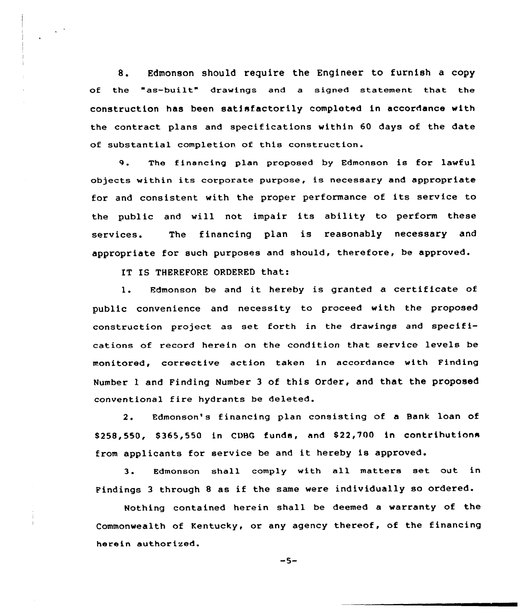S. Edmonson should require the Engineer to furnish a copy of the "as-built" drawings and <sup>a</sup> signed statement that the construction has been satisfactorily completed in accordance with the contract plans and specifications within 60 days of the date of substantial completion of this construction.

9. The financing plan proposed by Edmonson is for lawful objects within its corporate purpose, is necessary and appropriate for and consistent with the proper performance of its service to the public and will not impair its ability to perform these services. The financing plan is reasonably necessary and appropriate for such purposes and should, therefore, be approved.

IT IS THEREFORE ORDERED that:

1. Edmonson be and it hereby is granted a certificate of public convenience and necessity to proceed with the proposed construction project as set forth in the drawings and specifications of record herein on the condition that service levels be monitared, corrective action taken in accordance with Finding Number l and Finding Number 3 of this Order, and that the proposed conventional fire hydrants be deleted.

2. Edmonson's financing plan consisting of a Bank loan of \$258,550, \$365,550 in CDBG funds, and \$22,700 in contributions from applicants for service be and it hereby is approved.

3. Edmonson shall comply with all matters set out in Findings <sup>3</sup> through <sup>8</sup> as if the same were individually so ordered.

Nothing contained herein shall be deemed a warranty of the Commanwealth of Kentucky, or any agency thereof, of the financing herein authorized.

 $-5-$